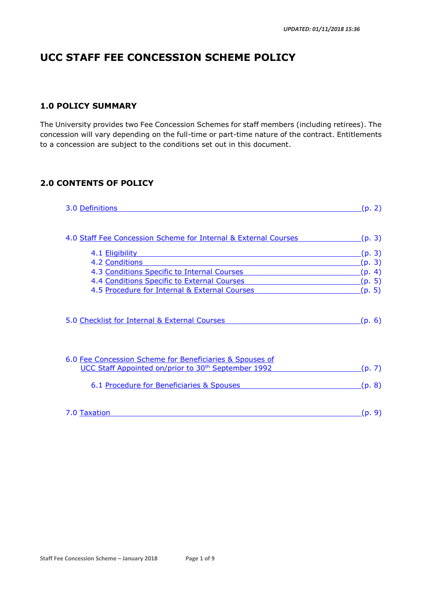# **UCC STAFF FEE CONCESSION SCHEME POLICY**

# **1.0 POLICY SUMMARY**

The University provides two Fee Concession Schemes for staff members (including retirees). The concession will vary depending on the full-time or part-time nature of the contract. Entitlements to a concession are subject to the conditions set out in this document.

# **2.0 CONTENTS OF POLICY**

| 3.0 Definitions                                                 | (p. 2) |
|-----------------------------------------------------------------|--------|
| 4.0 Staff Fee Concession Scheme for Internal & External Courses | (p. 3) |
| 4.1 Eligibility                                                 | (p. 3) |
| 4.2 Conditions                                                  | (p. 3) |
| 4.3 Conditions Specific to Internal Courses                     | (p. 4) |
| 4.4 Conditions Specific to External Courses                     | (p. 5) |
| 4.5 Procedure for Internal & External Courses                   | (p. 5) |
| 5.0 Checklist for Internal & External Courses                   | (p. 6) |
| 6.0 Fee Concession Scheme for Beneficiaries & Spouses of        |        |
| UCC Staff Appointed on/prior to 30 <sup>th</sup> September 1992 | (p. 7) |
| 6.1 Procedure for Beneficiaries & Spouses                       | (p. 8) |
| 7.0 Taxation                                                    | (p. 9) |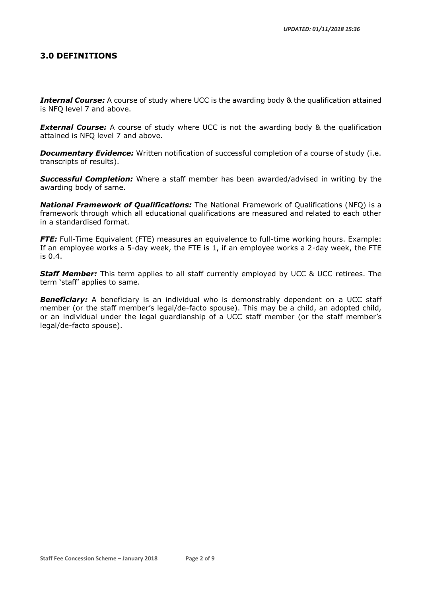### <span id="page-1-0"></span>**3.0 DEFINITIONS**

**Internal Course:** A course of study where UCC is the awarding body & the qualification attained is NFQ level 7 and above.

**External Course:** A course of study where UCC is not the awarding body & the qualification attained is NFQ level 7 and above.

**Documentary Evidence:** Written notification of successful completion of a course of study (i.e. transcripts of results).

*Successful Completion:* Where a staff member has been awarded/advised in writing by the awarding body of same.

*National Framework of Qualifications:* The National Framework of Qualifications (NFQ) is a framework through which all educational qualifications are measured and related to each other in a standardised format.

*FTE:* Full-Time Equivalent (FTE) measures an equivalence to full-time working hours. Example: If an employee works a 5-day week, the FTE is 1, if an employee works a 2-day week, the FTE is 0.4.

**Staff Member:** This term applies to all staff currently employed by UCC & UCC retirees. The term 'staff' applies to same.

**Beneficiary:** A beneficiary is an individual who is demonstrably dependent on a UCC staff member (or the staff member's legal/de-facto spouse). This may be a child, an adopted child, or an individual under the legal guardianship of a UCC staff member (or the staff member's legal/de-facto spouse).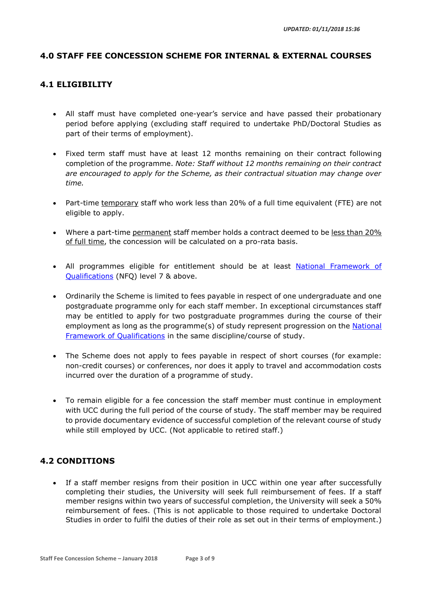# <span id="page-2-0"></span>**4.0 STAFF FEE CONCESSION SCHEME FOR INTERNAL & EXTERNAL COURSES**

### <span id="page-2-1"></span>**4.1 ELIGIBILITY**

- All staff must have completed one-year's service and have passed their probationary period before applying (excluding staff required to undertake PhD/Doctoral Studies as part of their terms of employment).
- Fixed term staff must have at least 12 months remaining on their contract following completion of the programme. *Note: Staff without 12 months remaining on their contract are encouraged to apply for the Scheme, as their contractual situation may change over time.*
- Part-time temporary staff who work less than 20% of a full time equivalent (FTE) are not eligible to apply.
- Where a part-time permanent staff member holds a contract deemed to be less than 20% of full time, the concession will be calculated on a pro-rata basis.
- All programmes eligible for entitlement should be at least National Framework of [Qualifications](http://www.nfq-qqi.com/) (NFQ) level 7 & above.
- Ordinarily the Scheme is limited to fees payable in respect of one undergraduate and one postgraduate programme only for each staff member. In exceptional circumstances staff may be entitled to apply for two postgraduate programmes during the course of their employment as long as the programme(s) of study represent progression on the National [Framework of Qualifications](http://www.nfq-qqi.com/) in the same discipline/course of study.
- The Scheme does not apply to fees payable in respect of short courses (for example: non-credit courses) or conferences, nor does it apply to travel and accommodation costs incurred over the duration of a programme of study.
- To remain eligible for a fee concession the staff member must continue in employment with UCC during the full period of the course of study. The staff member may be required to provide documentary evidence of successful completion of the relevant course of study while still employed by UCC. (Not applicable to retired staff.)

# <span id="page-2-2"></span>**4.2 CONDITIONS**

• If a staff member resigns from their position in UCC within one year after successfully completing their studies, the University will seek full reimbursement of fees. If a staff member resigns within two years of successful completion, the University will seek a 50% reimbursement of fees. (This is not applicable to those required to undertake Doctoral Studies in order to fulfil the duties of their role as set out in their terms of employment.)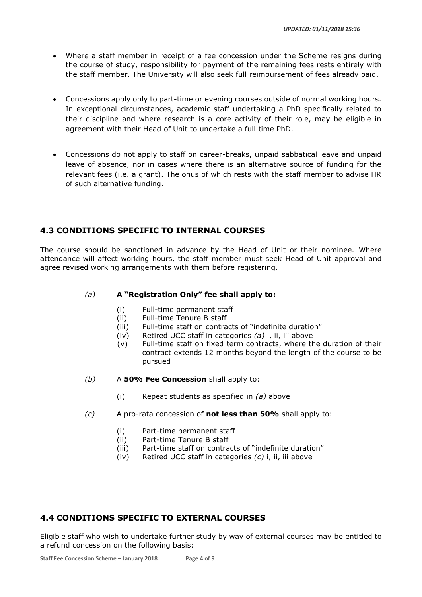- Where a staff member in receipt of a fee concession under the Scheme resigns during the course of study, responsibility for payment of the remaining fees rests entirely with the staff member. The University will also seek full reimbursement of fees already paid.
- Concessions apply only to part-time or evening courses outside of normal working hours. In exceptional circumstances, academic staff undertaking a PhD specifically related to their discipline and where research is a core activity of their role, may be eligible in agreement with their Head of Unit to undertake a full time PhD.
- Concessions do not apply to staff on career-breaks, unpaid sabbatical leave and unpaid leave of absence, nor in cases where there is an alternative source of funding for the relevant fees (i.e. a grant). The onus of which rests with the staff member to advise HR of such alternative funding.

# <span id="page-3-0"></span>**4.3 CONDITIONS SPECIFIC TO INTERNAL COURSES**

The course should be sanctioned in advance by the Head of Unit or their nominee. Where attendance will affect working hours, the staff member must seek Head of Unit approval and agree revised working arrangements with them before registering.

#### *(a)* **A "Registration Only" fee shall apply to:**

- (i) Full-time permanent staff
- (ii) Full-time Tenure B staff
- (iii) Full-time staff on contracts of "indefinite duration"
- (iv) Retired UCC staff in categories *(a)* i, ii, iii above
- (v) Full-time staff on fixed term contracts, where the duration of their contract extends 12 months beyond the length of the course to be pursued
- *(b)* A **50% Fee Concession** shall apply to:
	- (i) Repeat students as specified in *(a)* above
- *(c)* A pro-rata concession of **not less than 50%** shall apply to:
	- (i) Part-time permanent staff
	- (ii) Part-time Tenure B staff
	- (iii) Part-time staff on contracts of "indefinite duration"
	- (iv) Retired UCC staff in categories *(c)* i, ii, iii above

### <span id="page-3-1"></span>**4.4 CONDITIONS SPECIFIC TO EXTERNAL COURSES**

Eligible staff who wish to undertake further study by way of external courses may be entitled to a refund concession on the following basis: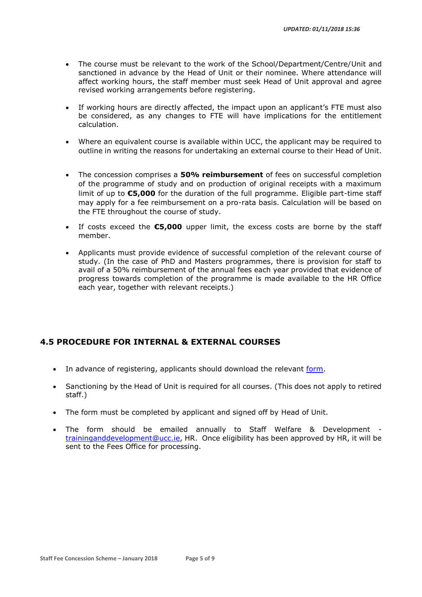- The course must be relevant to the work of the School/Department/Centre/Unit and sanctioned in advance by the Head of Unit or their nominee. Where attendance will affect working hours, the staff member must seek Head of Unit approval and agree revised working arrangements before registering.
- If working hours are directly affected, the impact upon an applicant's FTE must also be considered, as any changes to FTE will have implications for the entitlement calculation.
- Where an equivalent course is available within UCC, the applicant may be required to outline in writing the reasons for undertaking an external course to their Head of Unit.
- The concession comprises a **50% reimbursement** of fees on successful completion of the programme of study and on production of original receipts with a maximum limit of up to **€5,000** for the duration of the full programme. Eligible part-time staff may apply for a fee reimbursement on a pro-rata basis. Calculation will be based on the FTE throughout the course of study.
- If costs exceed the **€5,000** upper limit, the excess costs are borne by the staff member.
- Applicants must provide evidence of successful completion of the relevant course of study. (In the case of PhD and Masters programmes, there is provision for staff to avail of a 50% reimbursement of the annual fees each year provided that evidence of progress towards completion of the programme is made available to the HR Office each year, together with relevant receipts.)

# <span id="page-4-0"></span>**4.5 PROCEDURE FOR INTERNAL & EXTERNAL COURSES**

- In advance of registering, applicants should download the relevant [form.](https://www.ucc.ie/en/hr/benefits/concession/)
- Sanctioning by the Head of Unit is required for all courses. (This does not apply to retired staff.)
- The form must be completed by applicant and signed off by Head of Unit.
- The form should be emailed annually to Staff Welfare & Development [traininganddevelopment@ucc.ie,](mailto:traininganddevelopment@ucc.ie) HR. Once eligibility has been approved by HR, it will be sent to the Fees Office for processing.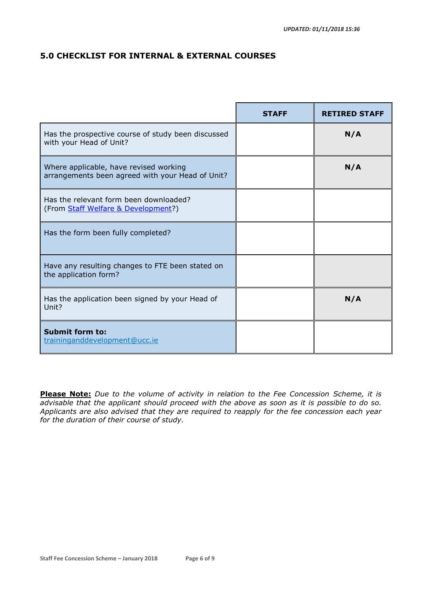# <span id="page-5-0"></span>**5.0 CHECKLIST FOR INTERNAL & EXTERNAL COURSES**

|                                                                                            | <b>STAFF</b> | <b>RETIRED STAFF</b> |
|--------------------------------------------------------------------------------------------|--------------|----------------------|
| Has the prospective course of study been discussed<br>with your Head of Unit?              |              | N/A                  |
| Where applicable, have revised working<br>arrangements been agreed with your Head of Unit? |              | N/A                  |
| Has the relevant form been downloaded?<br>(From Staff Welfare & Development?)              |              |                      |
| Has the form been fully completed?                                                         |              |                      |
| Have any resulting changes to FTE been stated on<br>the application form?                  |              |                      |
| Has the application been signed by your Head of<br>Unit?                                   |              | N/A                  |
| <b>Submit form to:</b><br>traininganddevelopment@ucc.ie                                    |              |                      |

**Please Note:** *Due to the volume of activity in relation to the Fee Concession Scheme, it is advisable that the applicant should proceed with the above as soon as it is possible to do so. Applicants are also advised that they are required to reapply for the fee concession each year for the duration of their course of study.*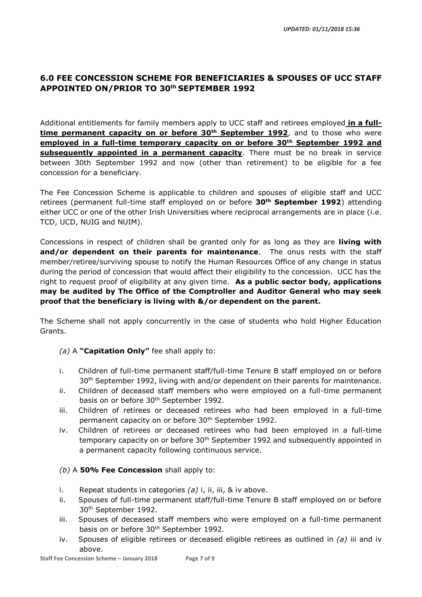# <span id="page-6-0"></span>**6.0 FEE CONCESSION SCHEME FOR BENEFICIARIES & SPOUSES OF UCC STAFF APPOINTED ON/PRIOR TO 30th SEPTEMBER 1992**

Additional entitlements for family members apply to UCC staff and retirees employed **in a fulltime permanent capacity on or before 30th September 1992**, and to those who were **employed in a full-time temporary capacity on or before 30th September 1992 and subsequently appointed in a permanent capacity**. There must be no break in service between 30th September 1992 and now (other than retirement) to be eligible for a fee concession for a beneficiary.

The Fee Concession Scheme is applicable to children and spouses of eligible staff and UCC retirees (permanent full-time staff employed on or before **30th September 1992**) attending either UCC or one of the other Irish Universities where reciprocal arrangements are in place (i.e. TCD, UCD, NUIG and NUIM).

Concessions in respect of children shall be granted only for as long as they are **living with and/or dependent on their parents for maintenance**. The onus rests with the staff member/retiree/surviving spouse to notify the Human Resources Office of any change in status during the period of concession that would affect their eligibility to the concession. UCC has the right to request proof of eligibility at any given time. **As a public sector body, applications may be audited by The Office of the Comptroller and Auditor General who may seek proof that the beneficiary is living with &/or dependent on the parent.**

The Scheme shall not apply concurrently in the case of students who hold Higher Education Grants.

### *(a)* A **"Capitation Only"** fee shall apply to:

- i. Children of full-time permanent staff/full-time Tenure B staff employed on or before 30<sup>th</sup> September 1992, living with and/or dependent on their parents for maintenance.
- ii. Children of deceased staff members who were employed on a full-time permanent basis on or before 30<sup>th</sup> September 1992.
- iii. Children of retirees or deceased retirees who had been employed in a full-time permanent capacity on or before 30<sup>th</sup> September 1992.
- iv. Children of retirees or deceased retirees who had been employed in a full-time temporary capacity on or before 30<sup>th</sup> September 1992 and subsequently appointed in a permanent capacity following continuous service.

### *(b)* A **50% Fee Concession** shall apply to:

- i. Repeat students in categories *(a)* i, ii, iii, & iv above.
- ii. Spouses of full-time permanent staff/full-time Tenure B staff employed on or before 30th September 1992.
- iii. Spouses of deceased staff members who were employed on a full-time permanent basis on or before 30<sup>th</sup> September 1992.
- iv. Spouses of eligible retirees or deceased eligible retirees as outlined in *(a)* iii and iv above.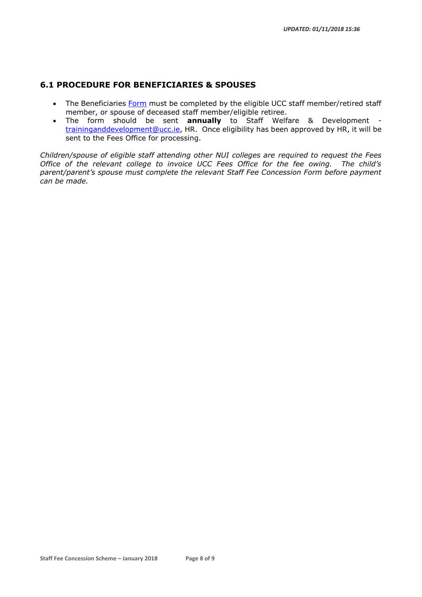# <span id="page-7-0"></span>**6.1 PROCEDURE FOR BENEFICIARIES & SPOUSES**

- The Beneficiaries [Form](https://www.ucc.ie/en/hr/benefits/concession/) must be completed by the eligible UCC staff member/retired staff member, or spouse of deceased staff member/eligible retiree.
- The form should be sent **annually** to Staff Welfare & Development [traininganddevelopment@ucc.ie,](mailto:traininganddevelopment@ucc.ie) HR. Once eligibility has been approved by HR, it will be sent to the Fees Office for processing.

*Children/spouse of eligible staff attending other NUI colleges are required to request the Fees Office of the relevant college to invoice UCC Fees Office for the fee owing. The child's parent/parent's spouse must complete the relevant Staff Fee Concession Form before payment can be made.*